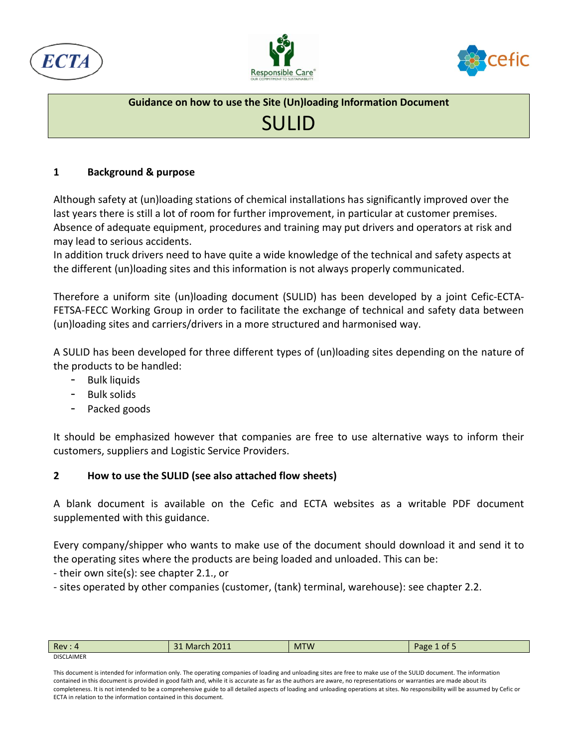





# SULID

### **1 Background & purpose**

Although safety at (un)loading stations of chemical installations has significantly improved over the last years there is still a lot of room for further improvement, in particular at customer premises. Absence of adequate equipment, procedures and training may put drivers and operators at risk and may lead to serious accidents.

In addition truck drivers need to have quite a wide knowledge of the technical and safety aspects at the different (un)loading sites and this information is not always properly communicated.

Therefore a uniform site (un)loading document (SULID) has been developed by a joint Cefic-ECTA-FETSA-FECC Working Group in order to facilitate the exchange of technical and safety data between (un)loading sites and carriers/drivers in a more structured and harmonised way.

A SULID has been developed for three different types of (un)loading sites depending on the nature of the products to be handled:

- Bulk liquids
- Bulk solids
- Packed goods

It should be emphasized however that companies are free to use alternative ways to inform their customers, suppliers and Logistic Service Providers.

### **2 How to use the SULID (see also attached flow sheets)**

A blank document is available on the Cefic and ECTA websites as a writable PDF document supplemented with this guidance.

Every company/shipper who wants to make use of the document should download it and send it to the operating sites where the products are being loaded and unloaded. This can be:

- their own site(s): see chapter 2.1., or

- sites operated by other companies (customer, (tank) terminal, warehouse): see chapter 2.2.

| Rev               | 31 March 2011 | <b>MTW</b> | Page<br>of 5 |
|-------------------|---------------|------------|--------------|
| <b>DISCLAIMER</b> |               |            |              |

This document is intended for information only. The operating companies of loading and unloading sites are free to make use of the SULID document. The information contained in this document is provided in good faith and, while it is accurate as far as the authors are aware, no representations or warranties are made about its completeness. It is not intended to be a comprehensive guide to all detailed aspects of loading and unloading operations at sites. No responsibility will be assumed by Cefic or ECTA in relation to the information contained in this document.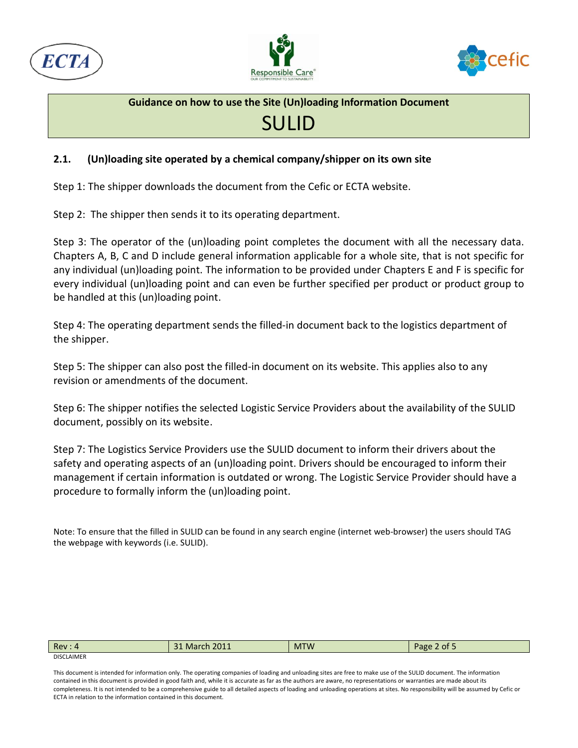





## SULID

### **2.1. (Un)loading site operated by a chemical company/shipper on its own site**

Step 1: The shipper downloads the document from the Cefic or ECTA website.

Step 2: The shipper then sends it to its operating department.

Step 3: The operator of the (un)loading point completes the document with all the necessary data. Chapters A, B, C and D include general information applicable for a whole site, that is not specific for any individual (un)loading point. The information to be provided under Chapters E and F is specific for every individual (un)loading point and can even be further specified per product or product group to be handled at this (un)loading point.

Step 4: The operating department sends the filled-in document back to the logistics department of the shipper.

Step 5: The shipper can also post the filled-in document on its website. This applies also to any revision or amendments of the document.

Step 6: The shipper notifies the selected Logistic Service Providers about the availability of the SULID document, possibly on its website.

Step 7: The Logistics Service Providers use the SULID document to inform their drivers about the safety and operating aspects of an (un)loading point. Drivers should be encouraged to inform their management if certain information is outdated or wrong. The Logistic Service Provider should have a procedure to formally inform the (un)loading point.

Note: To ensure that the filled in SULID can be found in any search engine (internet web-browser) the users should TAG the webpage with keywords (i.e. SULID).

| Rev: 4            | 31 March 2011 | <b>MTW</b> | 2 of 5<br>"age. |
|-------------------|---------------|------------|-----------------|
| <b>DISCLAIMER</b> |               |            |                 |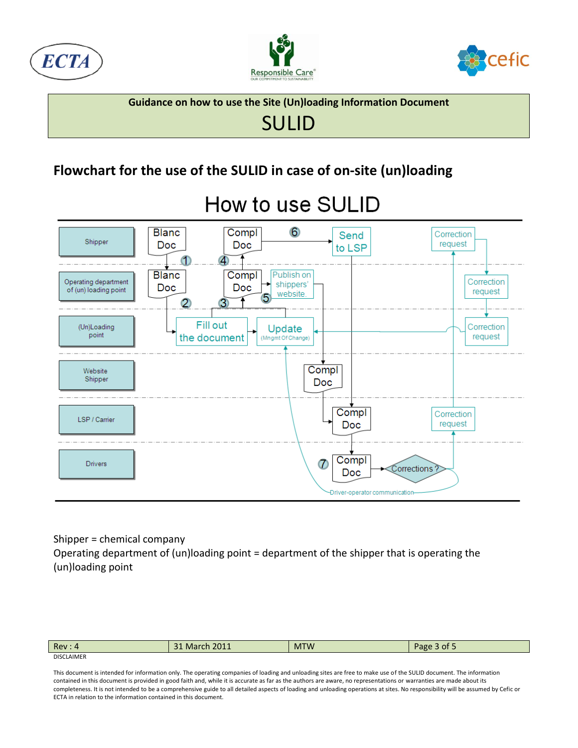





# SULID

### **Flowchart for the use of the SULID in case of on-site (un)loading**



# How to use SULID

#### Shipper = chemical company

Operating department of (un)loading point = department of the shipper that is operating the (un)loading point

| Rev:              | 2011<br>March<br>ີ 4 | <b>MTW</b> | 3 of 5<br>Page. |
|-------------------|----------------------|------------|-----------------|
| <b>DISCLAIMER</b> |                      |            |                 |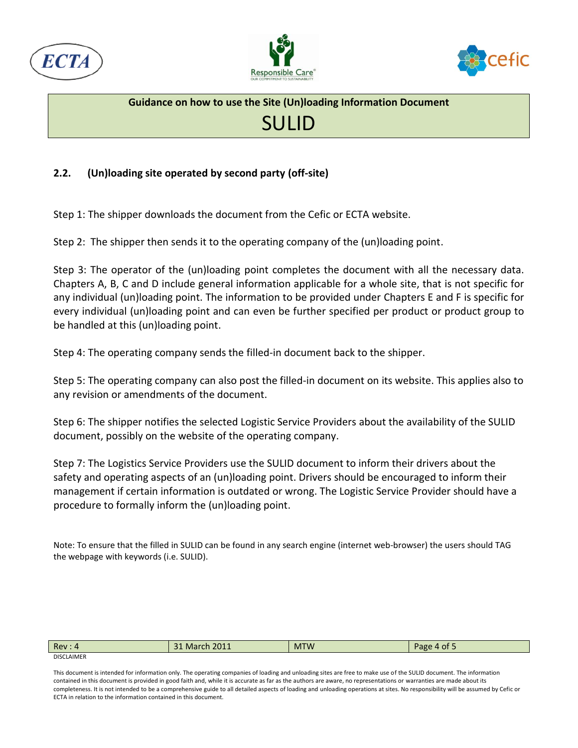





#### **2.2. (Un)loading site operated by second party (off-site)**

Step 1: The shipper downloads the document from the Cefic or ECTA website.

Step 2: The shipper then sends it to the operating company of the (un)loading point.

Step 3: The operator of the (un)loading point completes the document with all the necessary data. Chapters A, B, C and D include general information applicable for a whole site, that is not specific for any individual (un)loading point. The information to be provided under Chapters E and F is specific for every individual (un)loading point and can even be further specified per product or product group to be handled at this (un)loading point.

Step 4: The operating company sends the filled-in document back to the shipper.

Step 5: The operating company can also post the filled-in document on its website. This applies also to any revision or amendments of the document.

Step 6: The shipper notifies the selected Logistic Service Providers about the availability of the SULID document, possibly on the website of the operating company.

Step 7: The Logistics Service Providers use the SULID document to inform their drivers about the safety and operating aspects of an (un)loading point. Drivers should be encouraged to inform their management if certain information is outdated or wrong. The Logistic Service Provider should have a procedure to formally inform the (un)loading point.

Note: To ensure that the filled in SULID can be found in any search engine (internet web-browser) the users should TAG the webpage with keywords (i.e. SULID).

| Rev:              | 2011<br><b>March</b><br>$\mathbf{A}$ | <b>MTW</b> | $-$<br>Page<br>$\sqrt{4}$ of $\sqrt{2}$ |
|-------------------|--------------------------------------|------------|-----------------------------------------|
| <b>DISCLAIMER</b> |                                      |            |                                         |